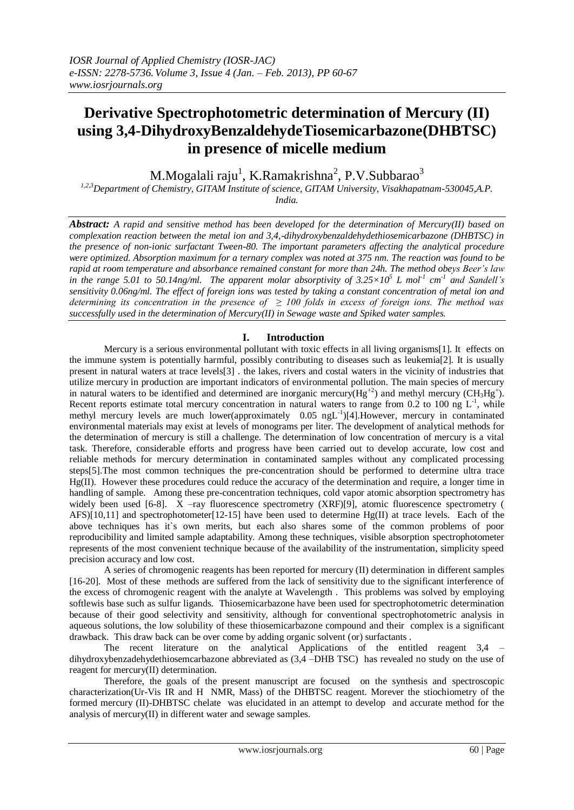# **Derivative Spectrophotometric determination of Mercury (II) using 3,4-DihydroxyBenzaldehydeTiosemicarbazone(DHBTSC) in presence of micelle medium**

M.Mogalali raju $^{\rm l}$ , K.Ramakrishna $^{\rm 2}$ , P.V.Subbara ${\rm o}^{\rm 3}$ 

*1,2,3Department of Chemistry, GITAM Institute of science, GITAM University, Visakhapatnam-530045,A.P.* 

*India.*

*Abstract: A rapid and sensitive method has been developed for the determination of Mercury(II) based on complexation reaction between the metal ion and 3,4,-dihydroxybenzaldehydethiosemicarbazone (DHBTSC) in the presence of non-ionic surfactant Tween-80. The important parameters affecting the analytical procedure were optimized. Absorption maximum for a ternary complex was noted at 375 nm. The reaction was found to be rapid at room temperature and absorbance remained constant for more than 24h. The method obeys Beer's law*  in the range 5.01 to 50.14ng/ml. The apparent molar absorptivity of  $3.25 \times 10^5$  L mol<sup>-1</sup> cm<sup>-1</sup> and Sandell's *sensitivity 0.06ng/ml. The effect of foreign ions was tested by taking a constant concentration of metal ion and*  determining its concentration in the presence of  $\geq$  100 folds in excess of foreign ions. The method was *successfully used in the determination of Mercury(II) in Sewage waste and Spiked water samples.*

# **I. Introduction**

Mercury is a serious environmental pollutant with toxic effects in all living organisms[1]. It effects on the immune system is potentially harmful, possibly contributing to diseases such as leukemia[2]. It is usually present in natural waters at trace levels[3] . the lakes, rivers and costal waters in the vicinity of industries that utilize mercury in production are important indicators of environmental pollution. The main species of mercury in natural waters to be identified and determined are inorganic mercury( $Hg^{+2}$ ) and methyl mercury (CH<sub>3</sub>Hg<sup>+</sup>). Recent reports estimate total mercury concentration in natural waters to range from 0.2 to 100 ng  $L^{-1}$ , while methyl mercury levels are much lower(approximately 0.05 ngL<sup>-1</sup>)[4]. However, mercury in contaminated environmental materials may exist at levels of monograms per liter. The development of analytical methods for the determination of mercury is still a challenge. The determination of low concentration of mercury is a vital task. Therefore, considerable efforts and progress have been carried out to develop accurate, low cost and reliable methods for mercury determination in contaminated samples without any complicated processing steps[5].The most common techniques the pre-concentration should be performed to determine ultra trace Hg(II). However these procedures could reduce the accuracy of the determination and require, a longer time in handling of sample. Among these pre-concentration techniques, cold vapor atomic absorption spectrometry has widely been used [6-8]. X –ray fluorescence spectrometry (XRF)[9], atomic fluorescence spectrometry ( AFS)[10,11] and spectrophotometer[12-15] have been used to determine  $Hg(II)$  at trace levels. Each of the above techniques has it`s own merits, but each also shares some of the common problems of poor reproducibility and limited sample adaptability. Among these techniques, visible absorption spectrophotometer represents of the most convenient technique because of the availability of the instrumentation, simplicity speed precision accuracy and low cost.

A series of chromogenic reagents has been reported for mercury (II) determination in different samples [16-20]. Most of these methods are suffered from the lack of sensitivity due to the significant interference of the excess of chromogenic reagent with the analyte at Wavelength . This problems was solved by employing softlewis base such as sulfur ligands. Thiosemicarbazone have been used for spectrophotometric determination because of their good selectivity and sensitivity, although for conventional spectrophotometric analysis in aqueous solutions, the low solubility of these thiosemicarbazone compound and their complex is a significant drawback. This draw back can be over come by adding organic solvent (or) surfactants .

The recent literature on the analytical Applications of the entitled reagent 3,4 – dihydroxybenzadehydethiosemcarbazone abbreviated as (3,4 –DHB TSC) has revealed no study on the use of reagent for mercury(II) determination.

Therefore, the goals of the present manuscript are focused on the synthesis and spectroscopic characterization(Ur-Vis IR and H NMR, Mass) of the DHBTSC reagent. Morever the stiochiometry of the formed mercury (II)-DHBTSC chelate was elucidated in an attempt to develop and accurate method for the analysis of mercury(II) in different water and sewage samples.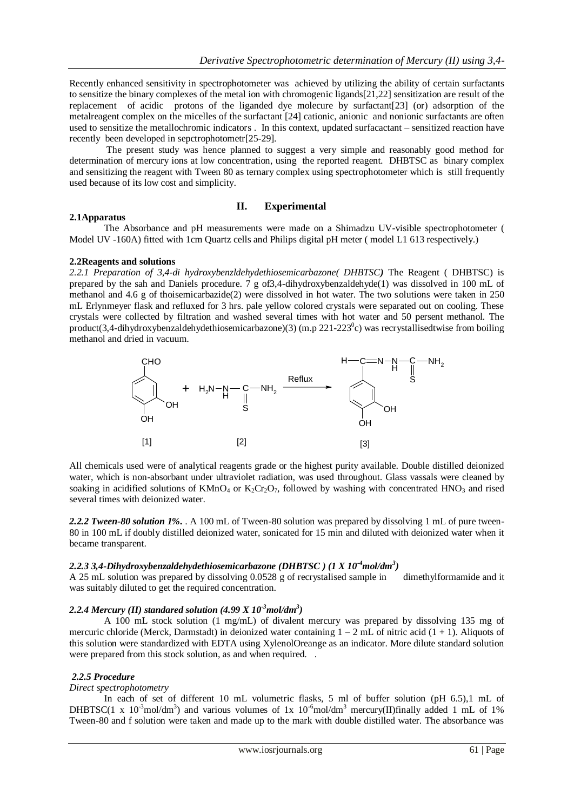Recently enhanced sensitivity in spectrophotometer was achieved by utilizing the ability of certain surfactants to sensitize the binary complexes of the metal ion with chromogenic ligands[21,22] sensitization are result of the replacement of acidic protons of the liganded dye molecure by surfactant[23] (or) adsorption of the metalreagent complex on the micelles of the surfactant [24] cationic, anionic and nonionic surfactants are often used to sensitize the metallochromic indicators . In this context, updated surfacactant – sensitized reaction have recently been developed in sepctrophotometr[25-29].

The present study was hence planned to suggest a very simple and reasonably good method for determination of mercury ions at low concentration, using the reported reagent. DHBTSC as binary complex and sensitizing the reagent with Tween 80 as ternary complex using spectrophotometer which is still frequently used because of its low cost and simplicity.

## **II. Experimental**

#### **2.1Apparatus**

The Absorbance and pH measurements were made on a Shimadzu UV-visible spectrophotometer ( Model UV -160A) fitted with 1cm Quartz cells and Philips digital pH meter ( model L1 613 respectively.)

#### **2.2Reagents and solutions**

*2.2.1 Preparation of 3,4-di hydroxybenzldehydethiosemicarbazone( DHBTSC)* The Reagent ( DHBTSC) is prepared by the sah and Daniels procedure. 7 g of3,4-dihydroxybenzaldehyde(1) was dissolved in 100 mL of methanol and 4.6 g of thoisemicarbazide(2) were dissolved in hot water. The two solutions were taken in 250 mL Erlynmeyer flask and refluxed for 3 hrs. pale yellow colored crystals were separated out on cooling. These crystals were collected by filtration and washed several times with hot water and 50 persent methanol. The product(3,4-dihydroxybenzaldehydethiosemicarbazone)(3) (m.p 221-223 $^{\circ}$ c) was recrystallisedtwise from boiling methanol and dried in vacuum.



All chemicals used were of analytical reagents grade or the highest purity available. Double distilled deionized water, which is non-absorbant under ultraviolet radiation, was used throughout. Glass vassals were cleaned by soaking in acidified solutions of  $KMD_4$  or  $K_2Cr_2O_7$ , followed by washing with concentrated  $HNO_3$  and rised several times with deionized water.

*2.2.2 Tween-80 solution 1%.* . A 100 mL of Tween-80 solution was prepared by dissolving 1 mL of pure tween-80 in 100 mL if doubly distilled deionized water, sonicated for 15 min and diluted with deionized water when it became transparent.

## *2.2.3 3,4-Dihydroxybenzaldehydethiosemicarbazone (DHBTSC ) (1 X 10-4mol/dm<sup>3</sup> )*

A 25 mL solution was prepared by dissolving 0.0528 g of recrystalised sample in dimethylformamide and it was suitably diluted to get the required concentration.

## *2.2.4 Mercury (II) standared solution (4.99 X 10-3mol/dm<sup>3</sup> )*

A 100 mL stock solution (1 mg/mL) of divalent mercury was prepared by dissolving 135 mg of mercuric chloride (Merck, Darmstadt) in deionized water containing  $1 - 2$  mL of nitric acid  $(1 + 1)$ . Aliquots of this solution were standardized with EDTA using XylenolOreange as an indicator. More dilute standard solution were prepared from this stock solution, as and when required. .

## *2.2.5 Procedure*

## *Direct spectrophotometry*

In each of set of different 10 mL volumetric flasks, 5 ml of buffer solution (pH 6.5),1 mL of DHBTSC(1 x 10<sup>-3</sup>mol/dm<sup>3</sup>) and various volumes of 1x 10<sup>-6</sup>mol/dm<sup>3</sup> mercury(II)finally added 1 mL of 1% Tween-80 and f solution were taken and made up to the mark with double distilled water. The absorbance was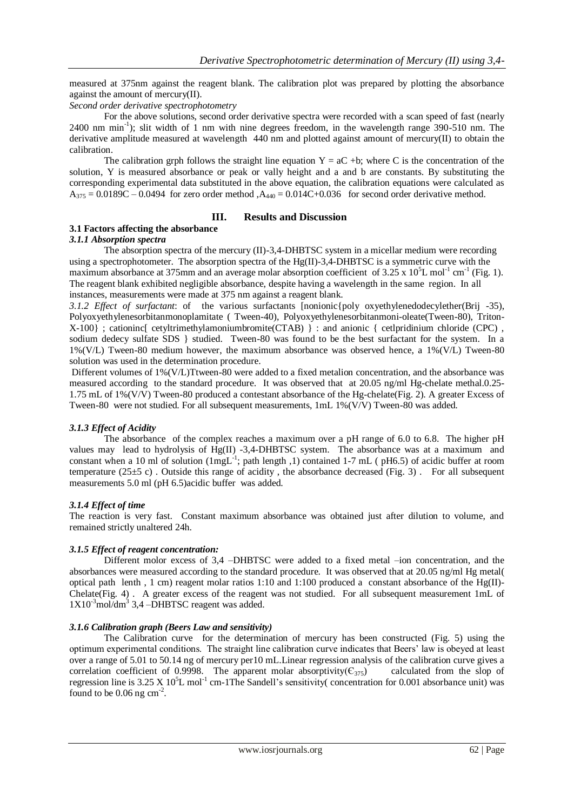measured at 375nm against the reagent blank. The calibration plot was prepared by plotting the absorbance against the amount of mercury(II).

## *Second order derivative spectrophotometry*

For the above solutions, second order derivative spectra were recorded with a scan speed of fast (nearly 2400 nm min<sup>-1</sup>); slit width of 1 nm with nine degrees freedom, in the wavelength range 390-510 nm. The derivative amplitude measured at wavelength  $440 \text{ nm}$  and plotted against amount of mercury(II) to obtain the calibration.

The calibration grph follows the straight line equation  $Y = aC + b$ ; where C is the concentration of the solution, Y is measured absorbance or peak or vally height and a and b are constants. By substituting the corresponding experimental data substituted in the above equation, the calibration equations were calculated as  $A_{375} = 0.0189C - 0.0494$  for zero order method  $A_{440} = 0.014C + 0.036$  for second order derivative method.

## **III. Results and Discussion**

## **3.1 Factors affecting the absorbance**

#### *3.1.1 Absorption spectra*

The absorption spectra of the mercury (II)-3,4-DHBTSC system in a micellar medium were recording using a spectrophotometer. The absorption spectra of the  $Hg(II)-3,4-DHBTSC$  is a symmetric curve with the maximum absorbance at 375mm and an average molar absorption coefficient of 3.25 x  $10^5$ L mol<sup>-1</sup> cm<sup>-1</sup> (Fig. 1). The reagent blank exhibited negligible absorbance, despite having a wavelength in the same region. In all instances, measurements were made at 375 nm against a reagent blank.

*3.1.2 Effect of surfactant*: of the various surfactants [nonionic{poly oxyethylenedodecylether(Brij -35), Polyoxyethylenesorbitanmonoplamitate ( Tween-40), Polyoxyethylenesorbitanmoni-oleate(Tween-80), Triton-X-100} ; cationinc[ cetyltrimethylamoniumbromite(CTAB) } : and anionic { cetlpridinium chloride (CPC) , sodium dedecy sulfate SDS  $\}$  studied. Tween-80 was found to be the best surfactant for the system. In a 1%(V/L) Tween-80 medium however, the maximum absorbance was observed hence, a 1%(V/L) Tween-80 solution was used in the determination procedure.

Different volumes of 1%(V/L)Ttween-80 were added to a fixed metalion concentration, and the absorbance was measured according to the standard procedure. It was observed that at 20.05 ng/ml Hg-chelate methal.0.25- 1.75 mL of 1%(V/V) Tween-80 produced a contestant absorbance of the Hg-chelate(Fig. 2). A greater Excess of Tween-80 were not studied. For all subsequent measurements, 1mL 1%(V/V) Tween-80 was added*.*

## *3.1.3 Effect of Acidity*

The absorbance of the complex reaches a maximum over a pH range of 6.0 to 6.8. The higher pH values may lead to hydrolysis of Hg(II) -3,4-DHBTSC system. The absorbance was at a maximum and constant when a 10 ml of solution ( $1$ mgL<sup>-1</sup>; path length ,1) contained 1-7 mL (pH6.5) of acidic buffer at room temperature ( $25\pm5$  c). Outside this range of acidity, the absorbance decreased (Fig. 3). For all subsequent measurements 5.0 ml (pH 6.5)acidic buffer was added.

## *3.1.4 Effect of time*

The reaction is very fast. Constant maximum absorbance was obtained just after dilution to volume, and remained strictly unaltered 24h.

## *3.1.5 Effect of reagent concentration:*

Different molor excess of 3,4 –DHBTSC were added to a fixed metal –ion concentration, and the absorbances were measured according to the standard procedure. It was observed that at 20.05 ng/ml Hg metal( optical path lenth , 1 cm) reagent molar ratios 1:10 and 1:100 produced a constant absorbance of the Hg(II)- Chelate(Fig. 4) . A greater excess of the reagent was not studied. For all subsequent measurement 1mL of 1X10<sup>-3</sup>mol/dm<sup>3</sup> 3,4 -DHBTSC reagent was added.

## *3.1.6 Calibration graph (Beers Law and sensitivity)*

The Calibration curve for the determination of mercury has been constructed (Fig. 5) using the optimum experimental conditions. The straight line calibration curve indicates that Beers' law is obeyed at least over a range of 5.01 to 50.14 ng of mercury per10 mL.Linear regression analysis of the calibration curve gives a correlation coefficient of 0.9998. The apparent molar absorptivity( $\epsilon_{375}$ ) calculated from the slop of regression line is  $3.25 \text{ X } 10^5$ L mol<sup>-1</sup> cm-1The Sandell's sensitivity( concentration for 0.001 absorbance unit) was found to be  $0.06$  ng cm<sup>-2</sup>.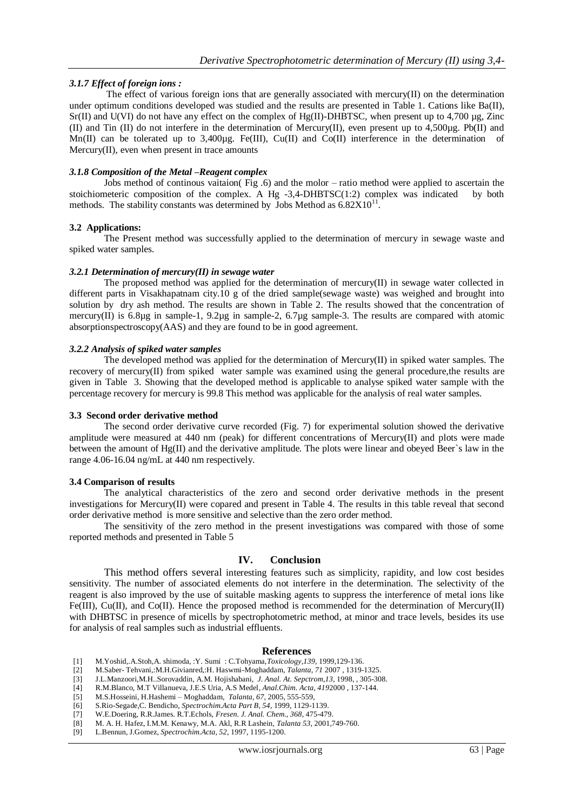## *3.1.7 Effect of foreign ions :*

The effect of various foreign ions that are generally associated with mercury(II) on the determination under optimum conditions developed was studied and the results are presented in Table 1. Cations like Ba(II),  $Sr(II)$  and U(VI) do not have any effect on the complex of Hg(II)-DHBTSC, when present up to 4,700 µg, Zinc (II) and Tin (II) do not interfere in the determination of Mercury(II), even present up to  $4,500\mu$ g. Pb(II) and Mn(II) can be tolerated up to 3,400µg. Fe(III), Cu(II) and Co(II) interference in the determination of Mercury(II), even when present in trace amounts

#### *3.1.8 Composition of the Metal –Reagent complex*

Jobs method of continous vaitaion( Fig .6) and the molor – ratio method were applied to ascertain the stoichiometeric composition of the complex. A Hg  $-3,4-DHBTSC(1:2)$  complex was indicated by both methods. The stability constants was determined by Jobs Method as  $6.82X10^{11}$ .

#### **3.2 Applications:**

The Present method was successfully applied to the determination of mercury in sewage waste and spiked water samples.

#### *3.2.1 Determination of mercury(II) in sewage water*

The proposed method was applied for the determination of mercury $(II)$  in sewage water collected in different parts in Visakhapatnam city.10 g of the dried sample(sewage waste) was weighed and brought into solution by dry ash method. The results are shown in Table 2. The results showed that the concentration of mercury(II) is 6.8µg in sample-1, 9.2µg in sample-2, 6.7µg sample-3. The results are compared with atomic absorptionspectroscopy(AAS) and they are found to be in good agreement.

#### *3.2.2 Analysis of spiked water samples*

The developed method was applied for the determination of Mercury(II) in spiked water samples. The recovery of mercury(II) from spiked water sample was examined using the general procedure,the results are given in Table 3. Showing that the developed method is applicable to analyse spiked water sample with the percentage recovery for mercury is 99.8 This method was applicable for the analysis of real water samples.

#### **3.3 Second order derivative method**

The second order derivative curve recorded (Fig. 7) for experimental solution showed the derivative amplitude were measured at 440 nm (peak) for different concentrations of Mercury(II) and plots were made between the amount of Hg(II) and the derivative amplitude. The plots were linear and obeyed Beer`s law in the range 4.06-16.04 ng/mL at 440 nm respectively.

#### **3.4 Comparison of results**

The analytical characteristics of the zero and second order derivative methods in the present investigations for Mercury(II) were copared and present in Table 4. The results in this table reveal that second order derivative method is more sensitive and selective than the zero order method.

The sensitivity of the zero method in the present investigations was compared with those of some reported methods and presented in Table 5

## **IV. Conclusion**

This method offers several interesting features such as simplicity, rapidity, and low cost besides sensitivity. The number of associated elements do not interfere in the determination. The selectivity of the reagent is also improved by the use of suitable masking agents to suppress the interference of metal ions like Fe(III), Cu(II), and Co(II). Hence the proposed method is recommended for the determination of Mercury(II) with DHBTSC in presence of micells by spectrophotometric method, at minor and trace levels, besides its use for analysis of real samples such as industrial effluents.

#### **References**

- [1] M.Yoshid,.A.Stoh,A. shimoda, :Y. Sumi : C.Tohyama,*Toxicology,139,* 1999,129-136.
- [2] M.Saber- Tehvani,:M.H.Givianred,:H. Haswmi-Moghaddam, *Talanta, 71* 2007 , 1319-1325.
- [3] J.L.Manzoori,M.H..Sorovaddin, A.M. Hojishabani*, J. Anal. At. Sepctrom,13,* 1998, , 305-308.
- [4] R.M.Blanco, M.T Villanueva, J.E.S Uria, A.S Medel*, Anal.Chim. Acta, 419*2000 , 137-144.
- [5] M.S.Hosseini, H.Hashemi Moghaddam*, Talanta, 67,* 2005, 555-559,
- [6] S.Rio-Segade,C. Bendicho*, Spectrochim.Acta Part B, 54*, 1999, 1129-1139.
- [7] W.E.Doering, R.R.James. R.T.Echols, *Fresen. J. Anal. Chem., 368*, 475-479.
- [8] M. A. H. Hafez, I.M.M. Kenawy, M.A. Akl, R.R Lashein, *Talanta 53,* 2001,749-760.
- [9] L.Bennun, J.Gomez*, Spectrochim.Acta, 52*, 1997, 1195-1200.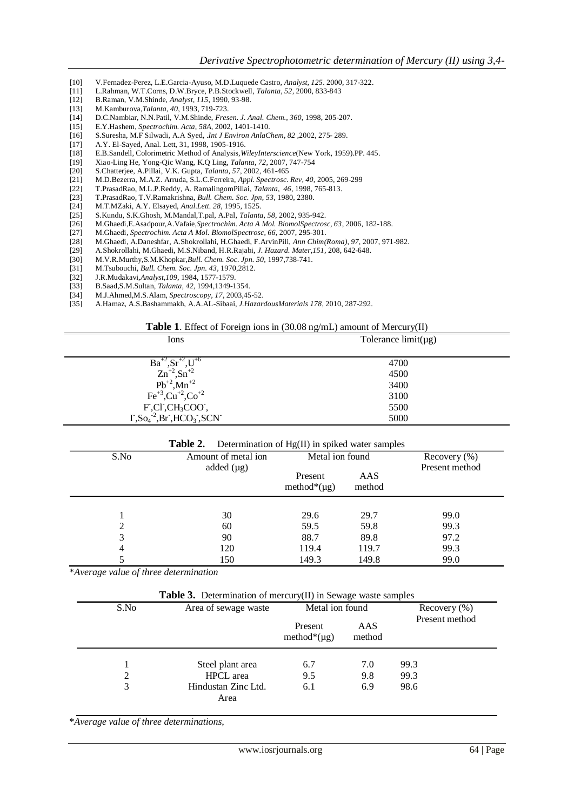- [10] V.Fernadez-Perez, L.E.Garcia-Ayuso, M.D.Luquede Castro*, Analyst, 125*. 2000, 317-322.
- [11] L.Rahman, W.T.Corns, D.W.Bryce, P.B.Stockwell, *Talanta, 52*, 2000, 833-843
- [12] B.Raman, V.M.Shinde, *Analyst, 115*, 1990, 93-98.
- [13] M.Kamburova,*Talanta, 40*, 1993, 719-723.
- [14] D.C.Nambiar, N.N.Patil, V.M.Shinde, *Fresen. J. Anal. Chem., 360*, 1998, 205-207.
- [15] E.Y.Hashem, *Spectrochim. Acta, 58A,* 2002, 1401-1410.
- [16] S.Suresha, M.F Silwadi, A.A Syed, .*Int J Environ AnlaChem, 82* ,2002, 275- 289.
- 
- [17] A.Y. El-Sayed, Anal. Lett, 31, 1998, 1905-1916.<br>[18] E.B.Sandell, Colorimetric Method of Analysis, W [18] E.B.Sandell, Colorimetric Method of Analysis,*WileyInterscience*(New York, 1959).PP. 445.
- [19] Xiao-Ling He, Yong-Qic Wang, K.Q Ling, *Talanta, 72*, 2007, 747-754
- [20] S.Chatterjee, A.Pillai, V.K. Gupta, *Talanta, 57*, 2002, 461-465
- [21] M.D.Bezerra, M.A.Z. Arruda, S.L.C.Ferreira, *Appl. Spectrosc. Rev, 40,* 2005, 269-299
- [22] T.PrasadRao, M.L.P.Reddy, A. RamalingomPillai, *Talanta, 46*, 1998, 765-813.
- [23] T.PrasadRao, T.V.Ramakrishna, *Bull. Chem. Soc. Jpn, 53*, 1980, 2380.
- [24] M.T.MZaki, A.Y. Elsayed, *Anal.Lett. 28,* 1995, 1525.
- [25] S.Kundu, S.K.Ghosh, M.Mandal,T.pal, A.Pal, *Talanta, 58*, 2002, 935-942.
- [26] M.Ghaedi,E.Asadpour,A.Vafaie,*Spectrochim. Acta A Mol. BiomolSpectrosc, 63*, 2006, 182-188.
- [27] M.Ghaedi, *Spectrochim. Acta A Mol. BiomolSpectrosc, 66,* 2007, 295-301.
- [28] M.Ghaedi, A.Daneshfar, A.Shokrollahi, H.Ghaedi, F.ArvinPili, *Ann Chim(Roma), 97,* 2007, 971-982.
- [29] A.Shokrollahi, M.Ghaedi, M.S.Niband, H.R.Rajabi, *J. Hazard. Mater,151,* 208, 642-648.
- [30] M.V.R.Murthy,S.M.Khopkar,*Bull. Chem. Soc. Jpn. 50,* 1997,738-741.
- [31] M.Tsubouchi, *Bull. Chem. Soc. Jpn. 43,* 1970,2812.
- [32] J.R.Mudakavi,*Analyst,109*, 1984, 1577-1579.
- [33] B.Saad,S.M.Sultan, *Talanta, 42,* 1994,1349-1354.
- 
- [34] M.J.Ahmed,M.S.Alam, *Spectroscopy, 17*, 2003,45-52. [35] A.Hamaz, A.S.Bashammakh, A.A.AL-Sibaai, *J.HazardousMaterials 178*, 2010, 287-292.

#### **Table 1**. Effect of Foreign ions in (30.08 ng/mL) amount of Mercury(II)

| Ions                                                                                                          | Tolerance $limit(\mu g)$ |
|---------------------------------------------------------------------------------------------------------------|--------------------------|
| $Ba^{+2}, Sr^{+2}, U^{+6}$                                                                                    | 4700                     |
| $Zn^{+2}, Sn^{+2}$                                                                                            | 4500                     |
|                                                                                                               | 3400                     |
| $Pb^{+2}$ , $Mn^{+2}$<br>Fe <sup>+3</sup> , Cu <sup>+2</sup> , Co <sup>+2</sup>                               | 3100                     |
| $F, CI, CH3COO$ ,                                                                                             | 5500                     |
| $\Gamma$ , So <sub>4</sub> <sup>-2</sup> , Br <sup>-</sup> , HCO <sub>3</sub> <sup>-</sup> , SCN <sup>-</sup> | 5000                     |
|                                                                                                               |                          |

| Table 2.<br>Determination of Hg(II) in spiked water samples |                     |                   |        |                  |  |  |
|-------------------------------------------------------------|---------------------|-------------------|--------|------------------|--|--|
| S.No                                                        | Amount of metal ion | Metal ion found   |        | Recovery $(\% )$ |  |  |
|                                                             | added $(\mu g)$     | Present           | AAS    | Present method   |  |  |
|                                                             |                     | method* $(\mu g)$ | method |                  |  |  |
|                                                             |                     |                   |        |                  |  |  |
|                                                             | 30                  | 29.6              | 29.7   | 99.0             |  |  |
| 2                                                           | 60                  | 59.5              | 59.8   | 99.3             |  |  |
| 3                                                           | 90                  | 88.7              | 89.8   | 97.2             |  |  |
| 4                                                           | 120                 | 119.4             | 119.7  | 99.3             |  |  |
|                                                             | 150                 | 149.3             | 149.8  | 99.0             |  |  |

\**Average value of three determination*

| <b>Table 3.</b> Determination of mercury(II) in Sewage waste samples |                                                                                                                                                                                                                                       |  |  |  |
|----------------------------------------------------------------------|---------------------------------------------------------------------------------------------------------------------------------------------------------------------------------------------------------------------------------------|--|--|--|
|                                                                      | $\blacksquare$ . The set of the set of the set of the set of the set of the set of the set of the set of the set of the set of the set of the set of the set of the set of the set of the set of the set of the set of the set of the |  |  |  |

| S.No | Area of sewage waste        | Metal ion found              |               | Recovery $(\%)$ |
|------|-----------------------------|------------------------------|---------------|-----------------|
|      |                             | Present<br>method* $(\mu g)$ | AAS<br>method | Present method  |
|      | Steel plant area            | 6.7                          | 7.0           | 99.3            |
| 2    | <b>HPCL</b> area            | 9.5                          | 9.8           | 99.3            |
| 3    | Hindustan Zinc Ltd.<br>Area | 6.1                          | 6.9           | 98.6            |

\**Average value of three determinations,*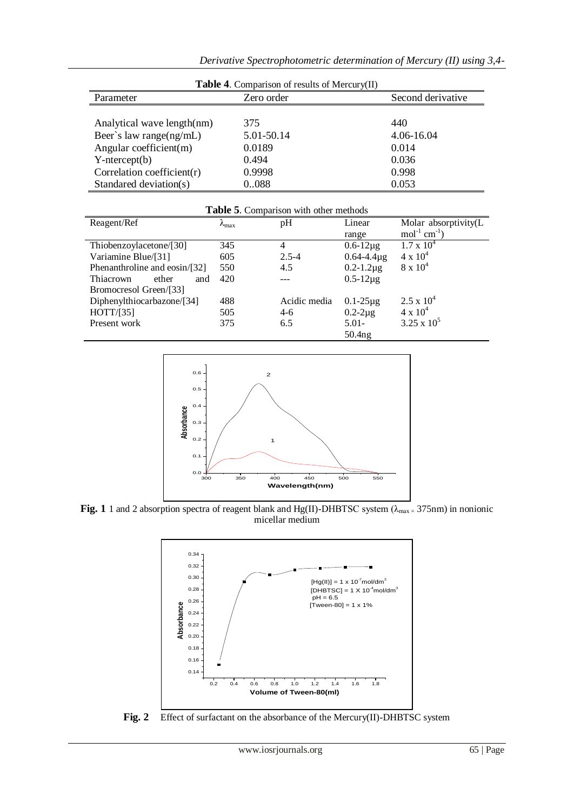| <b>Table 4.</b> Comparison of results of Mercury(II) |            |                   |  |  |  |
|------------------------------------------------------|------------|-------------------|--|--|--|
| Parameter                                            | Zero order | Second derivative |  |  |  |
|                                                      |            |                   |  |  |  |
| Analytical wave length(nm)                           | 375        | 440               |  |  |  |
| Beer's law range $(ng/mL)$                           | 5.01-50.14 | 4.06-16.04        |  |  |  |
| Angular coefficient(m)                               | 0.0189     | 0.014             |  |  |  |
| $Y-intercept(b)$                                     | 0.494      | 0.036             |  |  |  |
| Correlation coefficient $(r)$                        | 0.9998     | 0.998             |  |  |  |
| Standared deviation(s)                               | 0.088      | 0.053             |  |  |  |

| <b>Table 5.</b> Comparison with other methods |                     |              |                     |                               |
|-----------------------------------------------|---------------------|--------------|---------------------|-------------------------------|
| Reagent/Ref                                   | $\lambda_{\rm max}$ | pH           | Linear              | Molar absorptivity(L          |
|                                               |                     |              | range               | $mol^{-1}$ cm <sup>-1</sup> ) |
| Thiobenzoylacetone/[30]                       | 345                 | 4            | $0.6 - 12\mu g$     | $1.7 \times 10^4$             |
| Variamine Blue/[31]                           | 605                 | $2.5 - 4$    | $0.64 - 4.4\,\mu g$ | $4 \times 10^4$               |
| Phenanthroline and eosin/[32]                 | 550                 | 4.5          | $0.2 - 1.2 \mu g$   | $8 \times 10^4$               |
| Thiacrown<br>ether<br>and                     | 420                 |              | $0.5 - 12 \mu g$    |                               |
| Bromocresol Green/[33]                        |                     |              |                     |                               |
| Diphenylthiocarbazone/[34]                    | 488                 | Acidic media | $0.1 - 25 \mu g$    | $2.5 \times 10^4$             |
| HOTT/[35]                                     | 505                 | $4-6$        | $0.2 - 2\mu$ g      | $4 \times 10^{4}$             |
| Present work                                  | 375                 | 6.5          | $5.01 -$            | $3.25 \times 10^{5}$          |
|                                               |                     |              | 50.4 <sub>ng</sub>  |                               |



**Fig. 1** 1 and 2 absorption spectra of reagent blank and Hg(II)-DHBTSC system ( $\lambda_{\text{max}} = 375$ nm) in nonionic micellar medium



**Fig. 2** Effect of surfactant on the absorbance of the Mercury(II)-DHBTSC system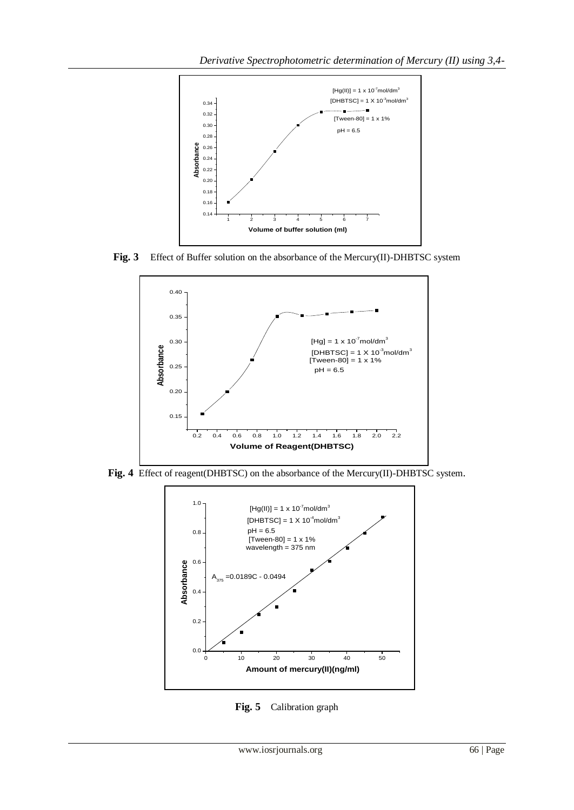

**Fig. 3** Effect of Buffer solution on the absorbance of the Mercury(II)-DHBTSC system



**Fig. 4** Effect of reagent(DHBTSC) on the absorbance of the Mercury(II)-DHBTSC system.



**Fig. 5** Calibration graph